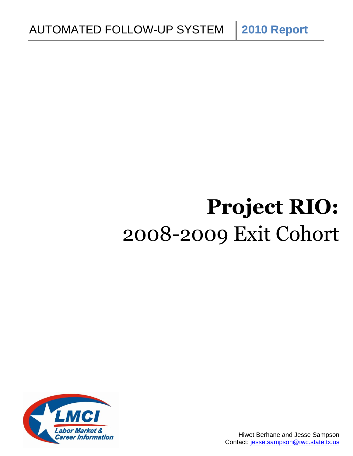# **Project RIO:** 2008-2009 Exit Cohort

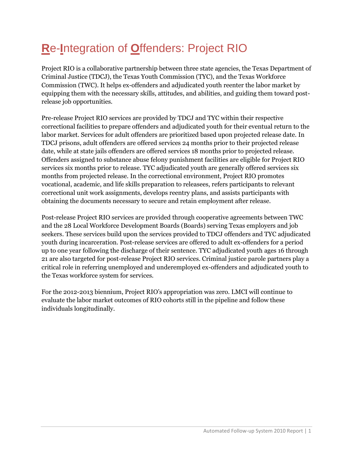## **R**e-**I**ntegration of **O**ffenders: Project RIO

Project RIO is a collaborative partnership between three state agencies, the Texas Department of Criminal Justice (TDCJ), the Texas Youth Commission (TYC), and the Texas Workforce Commission (TWC). It helps ex-offenders and adjudicated youth reenter the labor market by equipping them with the necessary skills, attitudes, and abilities, and guiding them toward postrelease job opportunities.

Pre-release Project RIO services are provided by TDCJ and TYC within their respective correctional facilities to prepare offenders and adjudicated youth for their eventual return to the labor market. Services for adult offenders are prioritized based upon projected release date. In TDCJ prisons, adult offenders are offered services 24 months prior to their projected release date, while at state jails offenders are offered services 18 months prior to projected release. Offenders assigned to substance abuse felony punishment facilities are eligible for Project RIO services six months prior to release. TYC adjudicated youth are generally offered services six months from projected release. In the correctional environment, Project RIO promotes vocational, academic, and life skills preparation to releasees, refers participants to relevant correctional unit work assignments, develops reentry plans, and assists participants with obtaining the documents necessary to secure and retain employment after release.

Post-release Project RIO services are provided through cooperative agreements between TWC and the 28 Local Workforce Development Boards (Boards) serving Texas employers and job seekers. These services build upon the services provided to TDCJ offenders and TYC adjudicated youth during incarceration. Post-release services are offered to adult ex-offenders for a period up to one year following the discharge of their sentence. TYC adjudicated youth ages 16 through 21 are also targeted for post-release Project RIO services. Criminal justice parole partners play a critical role in referring unemployed and underemployed ex-offenders and adjudicated youth to the Texas workforce system for services.

For the 2012-2013 biennium, Project RIO's appropriation was zero. LMCI will continue to evaluate the labor market outcomes of RIO cohorts still in the pipeline and follow these individuals longitudinally.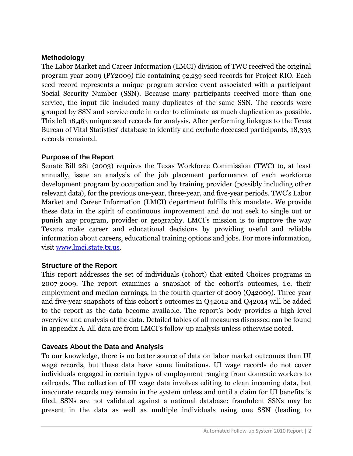#### **Methodology**

The Labor Market and Career Information (LMCI) division of TWC received the original program year 2009 (PY2009) file containing 92,239 seed records for Project RIO. Each seed record represents a unique program service event associated with a participant Social Security Number (SSN). Because many participants received more than one service, the input file included many duplicates of the same SSN. The records were grouped by SSN and service code in order to eliminate as much duplication as possible. This left 18,483 unique seed records for analysis. After performing linkages to the Texas Bureau of Vital Statistics' database to identify and exclude deceased participants, 18,393 records remained.

#### **Purpose of the Report**

Senate Bill 281 (2003) requires the Texas Workforce Commission (TWC) to, at least annually, issue an analysis of the job placement performance of each workforce development program by occupation and by training provider (possibly including other relevant data), for the previous one-year, three-year, and five-year periods. TWC's Labor Market and Career Information (LMCI) department fulfills this mandate. We provide these data in the spirit of continuous improvement and do not seek to single out or punish any program, provider or geography. LMCI's mission is to improve the way Texans make career and educational decisions by providing useful and reliable information about careers, educational training options and jobs. For more information, visit [www.lmci.state.tx.us.](http://www.lmci.state.tx.us/)

#### **Structure of the Report**

This report addresses the set of individuals (cohort) that exited Choices programs in 2007-2009. The report examines a snapshot of the cohort's outcomes, i.e. their employment and median earnings, in the fourth quarter of 2009 (Q42009). Three-year and five-year snapshots of this cohort's outcomes in Q42012 and Q42014 will be added to the report as the data become available. The report's body provides a high-level overview and analysis of the data. Detailed tables of all measures discussed can be found in appendix A. All data are from LMCI's follow-up analysis unless otherwise noted.

#### **Caveats About the Data and Analysis**

To our knowledge, there is no better source of data on labor market outcomes than UI wage records, but these data have some limitations. UI wage records do not cover individuals engaged in certain types of employment ranging from domestic workers to railroads. The collection of UI wage data involves editing to clean incoming data, but inaccurate records may remain in the system unless and until a claim for UI benefits is filed. SSNs are not validated against a national database: fraudulent SSNs may be present in the data as well as multiple individuals using one SSN (leading to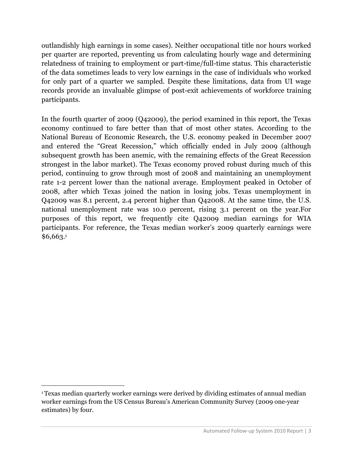outlandishly high earnings in some cases). Neither occupational title nor hours worked per quarter are reported, preventing us from calculating hourly wage and determining relatedness of training to employment or part-time/full-time status. This characteristic of the data sometimes leads to very low earnings in the case of individuals who worked for only part of a quarter we sampled. Despite these limitations, data from UI wage records provide an invaluable glimpse of post-exit achievements of workforce training participants.

In the fourth quarter of 2009 (Q42009), the period examined in this report, the Texas economy continued to fare better than that of most other states. According to the National Bureau of Economic Research, the U.S. economy peaked in December 2007 and entered the "Great Recession," which officially ended in July 2009 (although subsequent growth has been anemic, with the remaining effects of the Great Recession strongest in the labor market). The Texas economy proved robust during much of this period, continuing to grow through most of 2008 and maintaining an unemployment rate 1-2 percent lower than the national average. Employment peaked in October of 2008, after which Texas joined the nation in losing jobs. Texas unemployment in Q42009 was 8.1 percent, 2.4 percent higher than Q42008. At the same time, the U.S. national unemployment rate was 10.0 percent, rising 3.1 percent on the year.For purposes of this report, we frequently cite Q42009 median earnings for WIA participants. For reference, the Texas median worker's 2009 quarterly earnings were \$6,663.<sup>1</sup>

 $\overline{a}$ 

<sup>1</sup>Texas median quarterly worker earnings were derived by dividing estimates of annual median worker earnings from the US Census Bureau's American Community Survey (2009 one-year estimates) by four.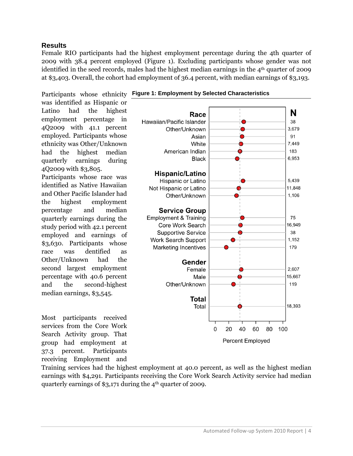#### **Results**

Female RIO participants had the highest employment percentage during the 4th quarter of 2009 with 38.4 percent employed (Figure 1). Excluding participants whose gender was not identified in the seed records, males had the highest median earnings in the 4<sup>th</sup> quarter of 2009 at \$3,403. Overall, the cohort had employment of 36.4 percent, with median earnings of \$3,193.

Participants whose ethnicity Figure 1: Employment by Selected Characteristics was identified as Hispanic or Latino had the highest employment percentage in 4Q2009 with 41.1 percent employed. Participants whose ethnicity was Other/Unknown had the highest median quarterly earnings during 4Q2009 with \$3,805.

Participants whose race was identified as Native Hawaiian and Other Pacific Islander had the highest employment percentage and median quarterly earnings during the study period with 42.1 percent employed and earnings of \$3,630. Participants whose race was dentified as Other/Unknown had the second largest employment percentage with 40.6 percent and the second-highest median earnings, \$3,545.

Most participants received services from the Core Work Search Activity group. That group had employment at 37.3 percent. Participants receiving Employment and





Training services had the highest employment at 40.0 percent, as well as the highest median earnings with \$4,291. Participants receiving the Core Work Search Activity service had median quarterly earnings of  $$3,171$  during the  $4<sup>th</sup>$  quarter of 2009.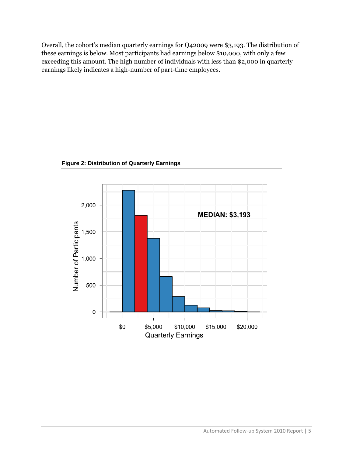Overall, the cohort's median quarterly earnings for Q42009 were \$3,193. The distribution of these earnings is below. Most participants had earnings below \$10,000, with only a few exceeding this amount. The high number of individuals with less than \$2,000 in quarterly earnings likely indicates a high-number of part-time employees.



**Figure 2: Distribution of Quarterly Earnings**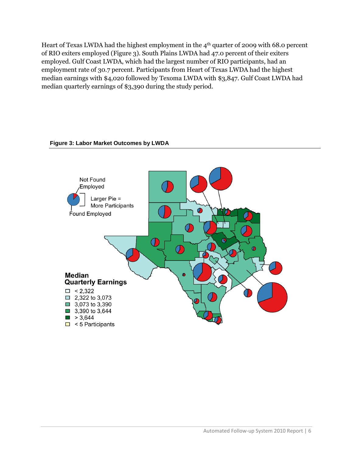Heart of Texas LWDA had the highest employment in the 4<sup>th</sup> quarter of 2009 with 68.0 percent of RIO exiters employed (Figure 3). South Plains LWDA had 47.0 percent of their exiters employed. Gulf Coast LWDA, which had the largest number of RIO participants, had an employment rate of 30.7 percent. Participants from Heart of Texas LWDA had the highest median earnings with \$4,020 followed by Texoma LWDA with \$3,847. Gulf Coast LWDA had median quarterly earnings of \$3,390 during the study period.

#### **Figure 3: Labor Market Outcomes by LWDA**

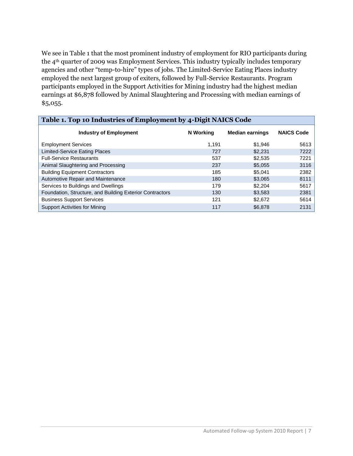We see in Table 1 that the most prominent industry of employment for RIO participants during the 4th quarter of 2009 was Employment Services. This industry typically includes temporary agencies and other "temp-to-hire" types of jobs. The Limited-Service Eating Places industry employed the next largest group of exiters, followed by Full-Service Restaurants. Program participants employed in the Support Activities for Mining industry had the highest median earnings at \$6,878 followed by Animal Slaughtering and Processing with median earnings of \$5,055.

| Table 1. Top 10 Industries of Employment by 4-Digit NAICS Code |           |                        |                   |  |  |  |  |  |  |
|----------------------------------------------------------------|-----------|------------------------|-------------------|--|--|--|--|--|--|
| <b>Industry of Employment</b>                                  | N Working | <b>Median earnings</b> | <b>NAICS Code</b> |  |  |  |  |  |  |
| <b>Employment Services</b>                                     | 1.191     | \$1,946                | 5613              |  |  |  |  |  |  |
| <b>Limited-Service Eating Places</b>                           | 727       | \$2,231                | 7222              |  |  |  |  |  |  |
| <b>Full-Service Restaurants</b>                                | 537       | \$2,535                | 7221              |  |  |  |  |  |  |
| Animal Slaughtering and Processing                             | 237       | \$5,055                | 3116              |  |  |  |  |  |  |
| <b>Building Equipment Contractors</b>                          | 185       | \$5,041                | 2382              |  |  |  |  |  |  |
| Automotive Repair and Maintenance                              | 180       | \$3,065                | 8111              |  |  |  |  |  |  |
| Services to Buildings and Dwellings                            | 179       | \$2,204                | 5617              |  |  |  |  |  |  |
| Foundation, Structure, and Building Exterior Contractors       | 130       | \$3,583                | 2381              |  |  |  |  |  |  |
| <b>Business Support Services</b>                               | 121       | \$2,672                | 5614              |  |  |  |  |  |  |
| <b>Support Activities for Mining</b>                           | 117       | \$6,878                | 2131              |  |  |  |  |  |  |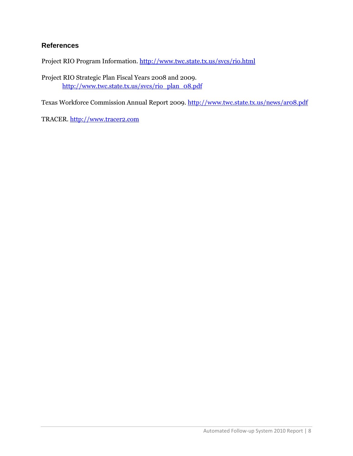#### **References**

Project RIO Program Information. <http://www.twc.state.tx.us/svcs/rio.html>

Project RIO Strategic Plan Fiscal Years 2008 and 2009. [http://www.twc.state.tx.us/svcs/rio\\_plan\\_08.pdf](http://www.twc.state.tx.us/svcs/rio_plan_08.pdf)

Texas Workforce Commission Annual Report 2009. <http://www.twc.state.tx.us/news/ar08.pdf>

TRACER. [http://www.tracer2.com](http://www.tracer2.com/)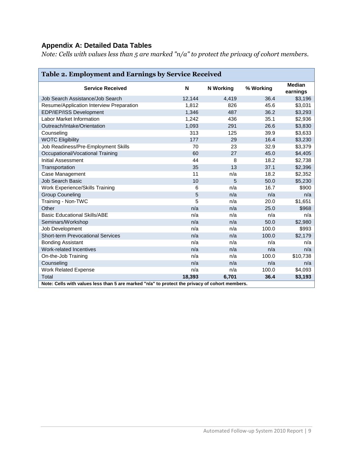#### **Appendix A: Detailed Data Tables**

*Note: Cells with values less than 5 are marked "n/a" to protect the privacy of cohort members.*

| <b>Table 2. Employment and Earnings by Service Received</b>                                    |        |                  |           |                           |  |  |  |  |
|------------------------------------------------------------------------------------------------|--------|------------------|-----------|---------------------------|--|--|--|--|
| <b>Service Received</b>                                                                        | N      | <b>N</b> Working | % Working | <b>Median</b><br>earnings |  |  |  |  |
| Job Search Assistance/Job Search                                                               | 12,144 | 4,419            | 36.4      | \$3,196                   |  |  |  |  |
| Resume/Application Interview Preparation                                                       | 1,812  | 826              | 45.6      | \$3,031                   |  |  |  |  |
| EDP/IEP/ISS Development                                                                        | 1,346  | 487              | 36.2      | \$3,293                   |  |  |  |  |
| Labor Market Information                                                                       | 1,242  | 436              | 35.1      | \$2,936                   |  |  |  |  |
| Outreach/Intake/Orientation                                                                    | 1,093  | 291              | 26.6      | \$3,830                   |  |  |  |  |
| Counseling                                                                                     | 313    | 125              | 39.9      | \$3,633                   |  |  |  |  |
| <b>WOTC Eligibility</b>                                                                        | 177    | 29               | 16.4      | \$3,230                   |  |  |  |  |
| Job Readiness/Pre-Employment Skills                                                            | 70     | 23               | 32.9      | \$3,379                   |  |  |  |  |
| Occupational/Vocational Training                                                               | 60     | 27               | 45.0      | \$4,405                   |  |  |  |  |
| <b>Initial Assessment</b>                                                                      | 44     | 8                | 18.2      | \$2,738                   |  |  |  |  |
| Transportation                                                                                 | 35     | 13               | 37.1      | \$2,396                   |  |  |  |  |
| Case Management                                                                                | 11     | n/a              | 18.2      | \$2,352                   |  |  |  |  |
| Job Search Basic                                                                               | 10     | 5                | 50.0      | \$5,230                   |  |  |  |  |
| Work Experience/Skills Training                                                                | 6      | n/a              | 16.7      | \$900                     |  |  |  |  |
| <b>Group Couneling</b>                                                                         | 5      | n/a              | n/a       | n/a                       |  |  |  |  |
| Training - Non-TWC                                                                             | 5      | n/a              | 20.0      | \$1,651                   |  |  |  |  |
| Other                                                                                          | n/a    | n/a              | 25.0      | \$968                     |  |  |  |  |
| <b>Basic Educational Skills/ABE</b>                                                            | n/a    | n/a              | n/a       | n/a                       |  |  |  |  |
| Seminars/Workshop                                                                              | n/a    | n/a              | 50.0      | \$2,980                   |  |  |  |  |
| Job Development                                                                                | n/a    | n/a              | 100.0     | \$993                     |  |  |  |  |
| <b>Short-term Prevocational Services</b>                                                       | n/a    | n/a              | 100.0     | \$2.179                   |  |  |  |  |
| <b>Bonding Assistant</b>                                                                       | n/a    | n/a              | n/a       | n/a                       |  |  |  |  |
| Work-related Incentives                                                                        | n/a    | n/a              | n/a       | n/a                       |  |  |  |  |
| On-the-Job Training                                                                            | n/a    | n/a              | 100.0     | \$10,738                  |  |  |  |  |
| Counseling                                                                                     | n/a    | n/a              | n/a       | n/a                       |  |  |  |  |
| <b>Work Related Expense</b>                                                                    | n/a    | n/a              | 100.0     | \$4,093                   |  |  |  |  |
| Total                                                                                          | 18,393 | 6,701            | 36.4      | \$3,193                   |  |  |  |  |
| Note: Cells with values less than 5 are marked "n/a" to protect the privacy of cohort members. |        |                  |           |                           |  |  |  |  |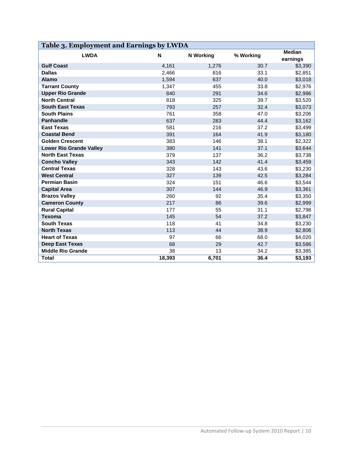| Table 3. Employment and Earnings by LWDA |        |                  |           |                           |  |  |  |  |
|------------------------------------------|--------|------------------|-----------|---------------------------|--|--|--|--|
| <b>LWDA</b>                              | N      | <b>N</b> Working | % Working | <b>Median</b><br>earnings |  |  |  |  |
| <b>Gulf Coast</b>                        | 4,161  | 1,276            | 30.7      | \$3,390                   |  |  |  |  |
| <b>Dallas</b>                            | 2,466  | 816              | 33.1      | \$2,851                   |  |  |  |  |
| <b>Alamo</b>                             | 1,594  | 637              | 40.0      | \$3,018                   |  |  |  |  |
| <b>Tarrant County</b>                    | 1,347  | 455              | 33.8      | \$2,976                   |  |  |  |  |
| <b>Upper Rio Grande</b>                  | 840    | 291              | 34.6      | \$2,986                   |  |  |  |  |
| <b>North Central</b>                     | 818    | 325              | 39.7      | \$3,520                   |  |  |  |  |
| <b>South East Texas</b>                  | 793    | 257              | 32.4      | \$3,073                   |  |  |  |  |
| <b>South Plains</b>                      | 761    | 358              | 47.0      | \$3,206                   |  |  |  |  |
| <b>Panhandle</b>                         | 637    | 283              | 44.4      | \$3,162                   |  |  |  |  |
| <b>East Texas</b>                        | 581    | 216              | 37.2      | \$3,499                   |  |  |  |  |
| <b>Coastal Bend</b>                      | 391    | 164              | 41.9      | \$3,180                   |  |  |  |  |
| <b>Golden Crescent</b>                   | 383    | 146              | 38.1      | \$2,322                   |  |  |  |  |
| <b>Lower Rio Grande Valley</b>           | 380    | 141              | 37.1      | \$3,644                   |  |  |  |  |
| <b>North East Texas</b>                  | 379    | 137              | 36.2      | \$3,738                   |  |  |  |  |
| <b>Concho Valley</b>                     | 343    | 142              | 41.4      | \$3,459                   |  |  |  |  |
| <b>Central Texas</b>                     | 328    | 143              | 43.6      | \$3,230                   |  |  |  |  |
| <b>West Central</b>                      | 327    | 139              | 42.5      | \$3,284                   |  |  |  |  |
| <b>Permian Basin</b>                     | 324    | 151              | 46.6      | \$3,544                   |  |  |  |  |
| <b>Capital Area</b>                      | 307    | 144              | 46.9      | \$3,361                   |  |  |  |  |
| <b>Brazos Valley</b>                     | 260    | 92               | 35.4      | \$3,350                   |  |  |  |  |
| <b>Cameron County</b>                    | 217    | 86               | 39.6      | \$2,999                   |  |  |  |  |
| <b>Rural Capital</b>                     | 177    | 55               | 31.1      | \$2,798                   |  |  |  |  |
| <b>Texoma</b>                            | 145    | 54               | 37.2      | \$3,847                   |  |  |  |  |
| <b>South Texas</b>                       | 118    | 41               | 34.8      | \$3,230                   |  |  |  |  |
| <b>North Texas</b>                       | 113    | 44               | 38.9      | \$2,806                   |  |  |  |  |
| <b>Heart of Texas</b>                    | 97     | 66               | 68.0      | \$4,020                   |  |  |  |  |
| <b>Deep East Texas</b>                   | 68     | 29               | 42.7      | \$3,586                   |  |  |  |  |
| <b>Middle Rio Grande</b>                 | 38     | 13               | 34.2      | \$3,385                   |  |  |  |  |
| <b>Total</b>                             | 18,393 | 6,701            | 36.4      | \$3,193                   |  |  |  |  |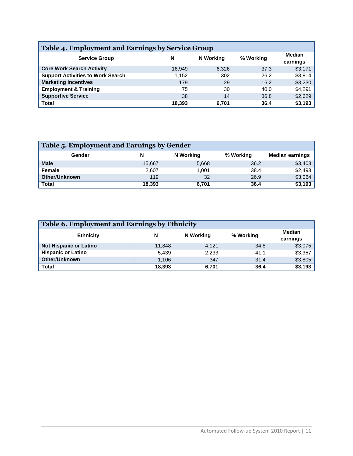| <b>Table 4. Employment and Earnings by Service Group</b> |        |           |           |                           |  |  |  |  |  |
|----------------------------------------------------------|--------|-----------|-----------|---------------------------|--|--|--|--|--|
| <b>Service Group</b>                                     | N      | N Working | % Working | <b>Median</b><br>earnings |  |  |  |  |  |
| <b>Core Work Search Activity</b>                         | 16.949 | 6,326     | 37.3      | \$3,171                   |  |  |  |  |  |
| <b>Support Activities to Work Search</b>                 | 1.152  | 302       | 26.2      | \$3,814                   |  |  |  |  |  |
| <b>Marketing Incentives</b>                              | 179    | 29        | 16.2      | \$3,230                   |  |  |  |  |  |
| <b>Employment &amp; Training</b>                         | 75     | 30        | 40.0      | \$4,291                   |  |  |  |  |  |
| <b>Supportive Service</b>                                | 38     | 14        | 36.8      | \$2,629                   |  |  |  |  |  |
| <b>Total</b>                                             | 18,393 | 6.701     | 36.4      | \$3,193                   |  |  |  |  |  |

| Table 5. Employment and Earnings by Gender |        |           |           |                        |  |  |  |  |  |
|--------------------------------------------|--------|-----------|-----------|------------------------|--|--|--|--|--|
| Gender                                     | N      | N Working | % Working | <b>Median earnings</b> |  |  |  |  |  |
| <b>Male</b>                                | 15,667 | 5,668     | 36.2      | \$3,403                |  |  |  |  |  |
| Female                                     | 2,607  | 1.001     | 38.4      | \$2,493                |  |  |  |  |  |
| <b>Other/Unknown</b>                       | 119    | 32        | 26.9      | \$3,064                |  |  |  |  |  |
| <b>Total</b>                               | 18,393 | 6,701     | 36.4      | \$3,193                |  |  |  |  |  |

| Table 6. Employment and Earnings by Ethnicity |        |           |                           |         |  |  |  |  |  |
|-----------------------------------------------|--------|-----------|---------------------------|---------|--|--|--|--|--|
| <b>Ethnicity</b>                              | N      | % Working | <b>Median</b><br>earnings |         |  |  |  |  |  |
| <b>Not Hispanic or Latino</b>                 | 11,848 | 4.121     | 34.8                      | \$3,075 |  |  |  |  |  |
| <b>Hispanic or Latino</b>                     | 5,439  | 2,233     | 41.1                      | \$3,357 |  |  |  |  |  |
| Other/Unknown                                 | 1.106  | 347       | 31.4                      | \$3,805 |  |  |  |  |  |
| <b>Total</b>                                  | 18,393 | 6,701     | 36.4                      | \$3,193 |  |  |  |  |  |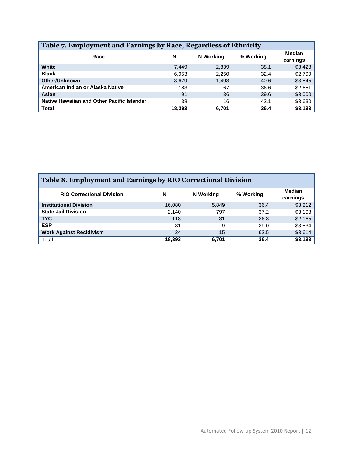| Table 7. Employment and Earnings by Race, Regardless of Ethnicity |        |           |           |                           |  |  |  |  |  |
|-------------------------------------------------------------------|--------|-----------|-----------|---------------------------|--|--|--|--|--|
| Race                                                              | N      | N Working | % Working | <b>Median</b><br>earnings |  |  |  |  |  |
| White                                                             | 7,449  | 2,839     | 38.1      | \$3,428                   |  |  |  |  |  |
| <b>Black</b>                                                      | 6.953  | 2.250     | 32.4      | \$2,799                   |  |  |  |  |  |
| <b>Other/Unknown</b>                                              | 3,679  | 1,493     | 40.6      | \$3,545                   |  |  |  |  |  |
| American Indian or Alaska Native                                  | 183    | 67        | 36.6      | \$2,651                   |  |  |  |  |  |
| Asian                                                             | 91     | 36        | 39.6      | \$3,000                   |  |  |  |  |  |
| Native Hawaiian and Other Pacific Islander                        | 38     | 16        | 42.1      | \$3,630                   |  |  |  |  |  |
| <b>Total</b>                                                      | 18,393 | 6,701     | 36.4      | \$3,193                   |  |  |  |  |  |

| <b>Table 8. Employment and Earnings by RIO Correctional Division</b> |        |           |           |                    |  |  |  |  |  |
|----------------------------------------------------------------------|--------|-----------|-----------|--------------------|--|--|--|--|--|
| <b>RIO Correctional Division</b>                                     | N      | N Working | % Working | Median<br>earnings |  |  |  |  |  |
| <b>Institutional Division</b>                                        | 16.080 | 5.849     | 36.4      | \$3,212            |  |  |  |  |  |
| <b>State Jail Division</b>                                           | 2.140  | 797       | 37.2      | \$3,108            |  |  |  |  |  |
| <b>TYC</b>                                                           | 118    | 31        | 26.3      | \$2,165            |  |  |  |  |  |
| <b>ESP</b>                                                           | 31     | 9         | 29.0      | \$3,534            |  |  |  |  |  |
| <b>Work Against Recidivism</b>                                       | 24     | 15        | 62.5      | \$3,614            |  |  |  |  |  |
| Total                                                                | 18,393 | 6,701     | 36.4      | \$3,193            |  |  |  |  |  |